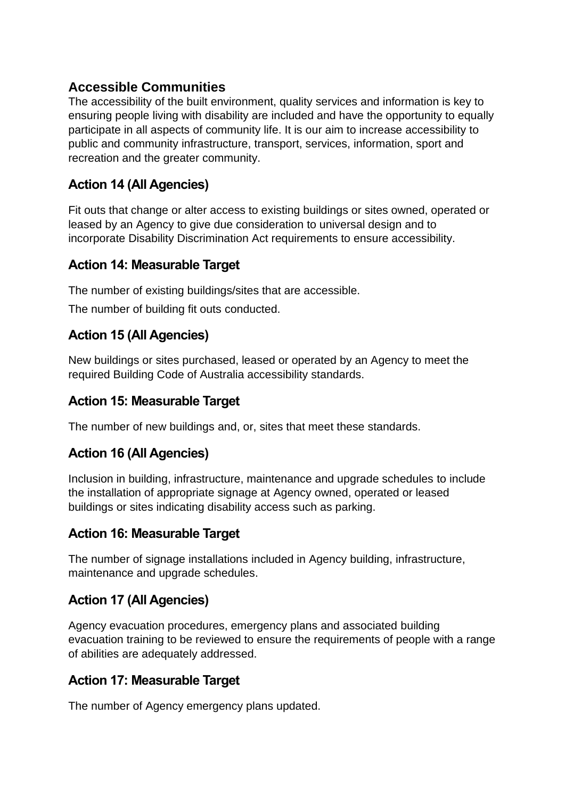# **Accessible Communities**

The accessibility of the built environment, quality services and information is key to ensuring people living with disability are included and have the opportunity to equally participate in all aspects of community life. It is our aim to increase accessibility to public and community infrastructure, transport, services, information, sport and recreation and the greater community.

# **Action 14 (All Agencies)**

Fit outs that change or alter access to existing buildings or sites owned, operated or leased by an Agency to give due consideration to universal design and to incorporate Disability Discrimination Act requirements to ensure accessibility.

### **Action 14: Measurable Target**

The number of existing buildings/sites that are accessible.

The number of building fit outs conducted.

### **Action 15 (All Agencies)**

New buildings or sites purchased, leased or operated by an Agency to meet the required Building Code of Australia accessibility standards.

#### **Action 15: Measurable Target**

The number of new buildings and, or, sites that meet these standards.

# **Action 16 (All Agencies)**

Inclusion in building, infrastructure, maintenance and upgrade schedules to include the installation of appropriate signage at Agency owned, operated or leased buildings or sites indicating disability access such as parking.

#### **Action 16: Measurable Target**

The number of signage installations included in Agency building, infrastructure, maintenance and upgrade schedules.

# **Action 17 (All Agencies)**

Agency evacuation procedures, emergency plans and associated building evacuation training to be reviewed to ensure the requirements of people with a range of abilities are adequately addressed.

#### **Action 17: Measurable Target**

The number of Agency emergency plans updated.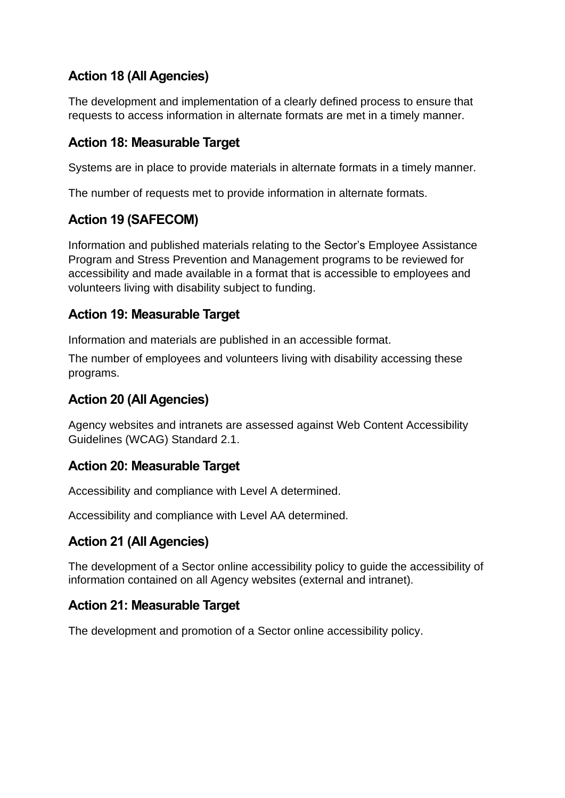# **Action 18 (All Agencies)**

The development and implementation of a clearly defined process to ensure that requests to access information in alternate formats are met in a timely manner.

### **Action 18: Measurable Target**

Systems are in place to provide materials in alternate formats in a timely manner.

The number of requests met to provide information in alternate formats.

# **Action 19 (SAFECOM)**

Information and published materials relating to the Sector's Employee Assistance Program and Stress Prevention and Management programs to be reviewed for accessibility and made available in a format that is accessible to employees and volunteers living with disability subject to funding.

### **Action 19: Measurable Target**

Information and materials are published in an accessible format.

The number of employees and volunteers living with disability accessing these programs.

# **Action 20 (All Agencies)**

Agency websites and intranets are assessed against Web Content Accessibility Guidelines (WCAG) Standard 2.1.

#### **Action 20: Measurable Target**

Accessibility and compliance with Level A determined.

Accessibility and compliance with Level AA determined.

# **Action 21 (All Agencies)**

The development of a Sector online accessibility policy to guide the accessibility of information contained on all Agency websites (external and intranet).

#### **Action 21: Measurable Target**

The development and promotion of a Sector online accessibility policy.